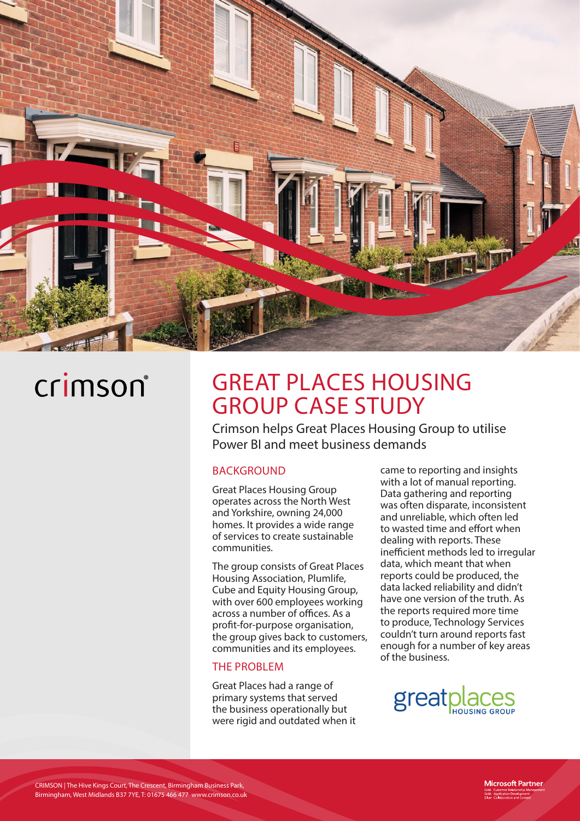

## crimson®

### GREAT PLACES HOUSING GROUP CASE STUDY

Crimson helps Great Places Housing Group to utilise Power BI and meet business demands

#### **BACKGROUND**

Great Places Housing Group operates across the North West and Yorkshire, owning 24,000 homes. It provides a wide range of services to create sustainable communities.

The group consists of Great Places Housing Association, Plumlife, Cube and Equity Housing Group, with over 600 employees working across a number of offices. As a profit-for-purpose organisation, the group gives back to customers, communities and its employees.

#### THE PROBLEM

Great Places had a range of primary systems that served the business operationally but were rigid and outdated when it

came to reporting and insights with a lot of manual reporting. Data gathering and reporting was often disparate, inconsistent and unreliable, which often led to wasted time and effort when dealing with reports. These inefficient methods led to irregular data, which meant that when reports could be produced, the data lacked reliability and didn't have one version of the truth. As the reports required more time to produce, Technology Services couldn't turn around reports fast enough for a number of key areas of the business.